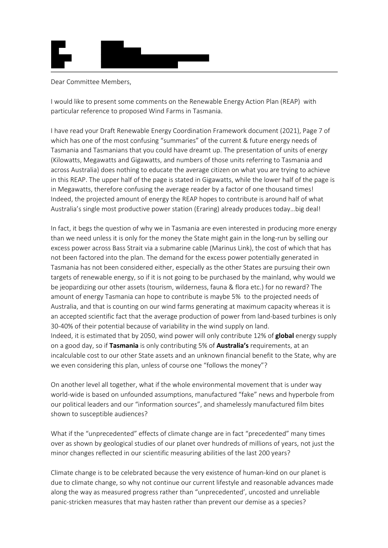

## Dear Committee Members,

I would like to present some comments on the Renewable Energy Action Plan (REAP) with particular reference to proposed Wind Farms in Tasmania.

I have read your Draft Renewable Energy Coordination Framework document (2021), Page 7 of which has one of the most confusing "summaries" of the current & future energy needs of Tasmania and Tasmanians that you could have dreamt up. The presentation of units of energy (Kilowatts, Megawatts and Gigawatts, and numbers of those units referring to Tasmania and across Australia) does nothing to educate the average citizen on what you are trying to achieve in this REAP. The upper half of the page is stated in Gigawatts, while the lower half of the page is in Megawatts, therefore confusing the average reader by a factor of one thousand times! Indeed, the projected amount of energy the REAP hopes to contribute is around half of what Australia's single most productive power station (Eraring) already produces today…big deal!

In fact, it begs the question of why we in Tasmania are even interested in producing more energy than we need unless it is only for the money the State might gain in the long-run by selling our excess power across Bass Strait via a submarine cable (Marinus Link), the cost of which that has not been factored into the plan. The demand for the excess power potentially generated in Tasmania has not been considered either, especially as the other States are pursuing their own targets of renewable energy, so if it is not going to be purchased by the mainland, why would we be jeopardizing our other assets (tourism, wilderness, fauna & flora etc.) for no reward? The amount of energy Tasmania can hope to contribute is maybe 5% to the projected needs of Australia, and that is counting on our wind farms generating at maximum capacity whereas it is an accepted scientific fact that the average production of power from land-based turbines is only 30-40% of their potential because of variability in the wind supply on land. Indeed, it is estimated that by 2050, wind power will only contribute 12% of **global** energy supply on a good day, so if **Tasmania** is only contributing 5% of **Australia's** requirements, at an incalculable cost to our other State assets and an unknown financial benefit to the State, why are we even considering this plan, unless of course one "follows the money"?

On another level all together, what if the whole environmental movement that is under way world-wide is based on unfounded assumptions, manufactured "fake" news and hyperbole from our political leaders and our "information sources", and shamelessly manufactured film bites shown to susceptible audiences?

What if the "unprecedented" effects of climate change are in fact "precedented" many times over as shown by geological studies of our planet over hundreds of millions of years, not just the minor changes reflected in our scientific measuring abilities of the last 200 years?

Climate change is to be celebrated because the very existence of human-kind on our planet is due to climate change, so why not continue our current lifestyle and reasonable advances made along the way as measured progress rather than "unprecedented', uncosted and unreliable panic-stricken measures that may hasten rather than prevent our demise as a species?